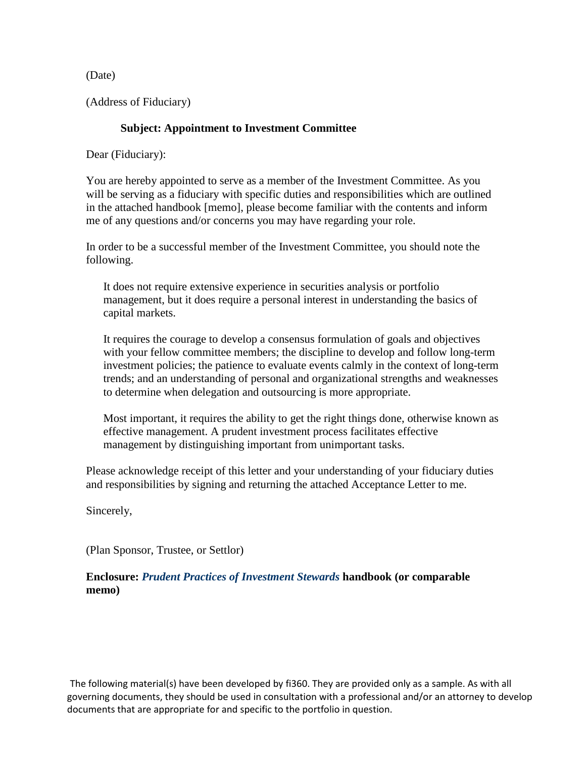(Date)

(Address of Fiduciary)

## **Subject: Appointment to Investment Committee**

Dear (Fiduciary):

You are hereby appointed to serve as a member of the Investment Committee. As you will be serving as a fiduciary with specific duties and responsibilities which are outlined in the attached handbook [memo], please become familiar with the contents and inform me of any questions and/or concerns you may have regarding your role.

In order to be a successful member of the Investment Committee, you should note the following.

It does not require extensive experience in securities analysis or portfolio management, but it does require a personal interest in understanding the basics of capital markets.

It requires the courage to develop a consensus formulation of goals and objectives with your fellow committee members; the discipline to develop and follow long-term investment policies; the patience to evaluate events calmly in the context of long-term trends; and an understanding of personal and organizational strengths and weaknesses to determine when delegation and outsourcing is more appropriate.

Most important, it requires the ability to get the right things done, otherwise known as effective management. A prudent investment process facilitates effective management by distinguishing important from unimportant tasks.

Please acknowledge receipt of this letter and your understanding of your fiduciary duties and responsibilities by signing and returning the attached Acceptance Letter to me.

Sincerely,

(Plan Sponsor, Trustee, or Settlor)

## **Enclosure:** *Prudent Practices of Investment Stewards* **handbook (or comparable memo)**

The following material(s) have been developed by fi360. They are provided only as a sample. As with all governing documents, they should be used in consultation with a professional and/or an attorney to develop documents that are appropriate for and specific to the portfolio in question.